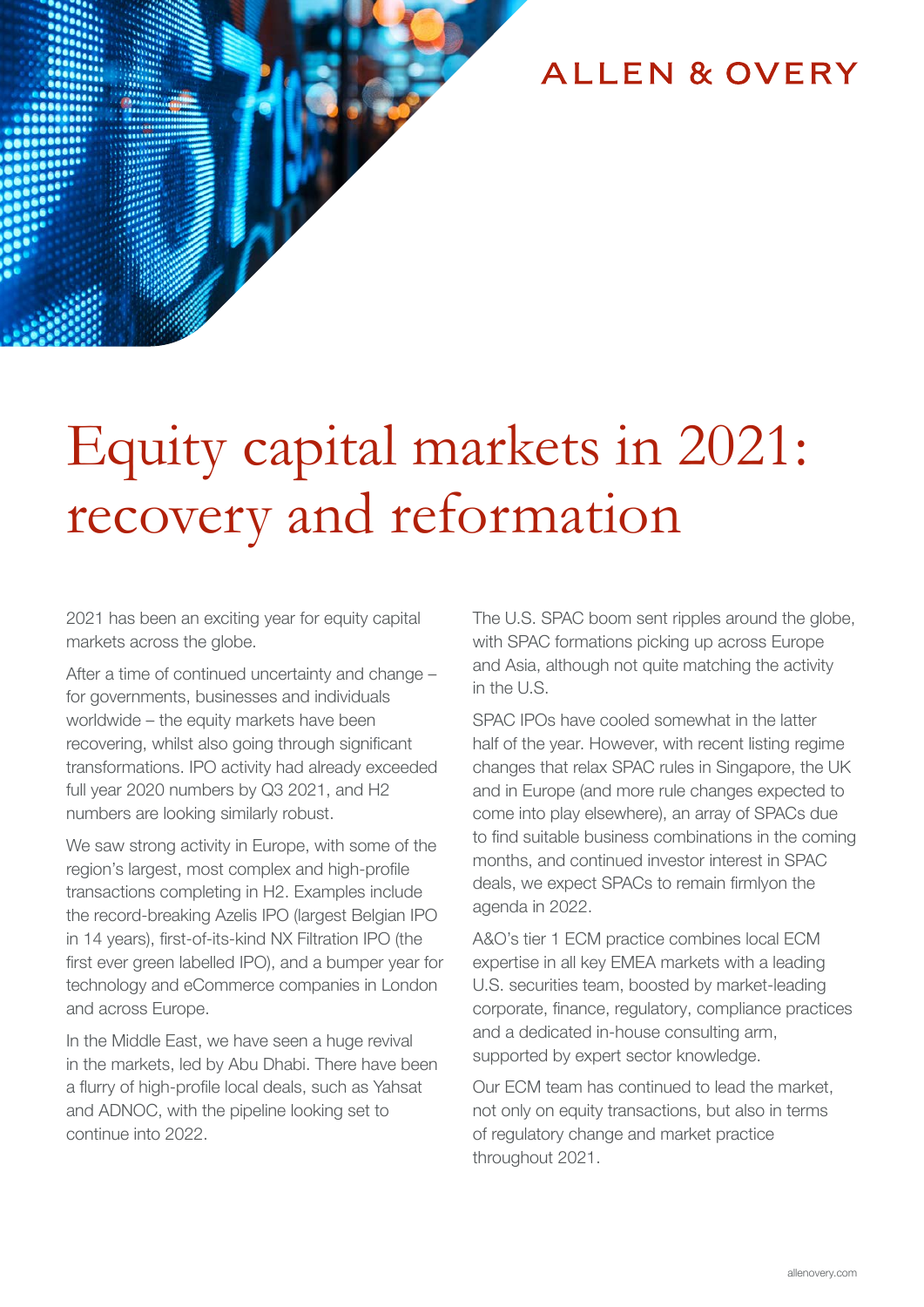### **ALLEN & OVERY**

# Equity capital markets in 2021: recovery and reformation

2021 has been an exciting year for equity capital markets across the globe.

After a time of continued uncertainty and change – for governments, businesses and individuals worldwide – the equity markets have been recovering, whilst also going through significant transformations. IPO activity had already exceeded full year 2020 numbers by Q3 2021, and H2 numbers are looking similarly robust.

We saw strong activity in Europe, with some of the region's largest, most complex and high-profile transactions completing in H2. Examples include the record-breaking Azelis IPO (largest Belgian IPO in 14 years), first-of-its-kind NX Filtration IPO (the first ever green labelled IPO), and a bumper year for technology and eCommerce companies in London and across Europe.

In the Middle East, we have seen a huge revival in the markets, led by Abu Dhabi. There have been a flurry of high-profile local deals, such as Yahsat and ADNOC, with the pipeline looking set to continue into 2022.

The U.S. SPAC boom sent ripples around the globe, with SPAC formations picking up across Europe and Asia, although not quite matching the activity in the U.S.

SPAC IPOs have cooled somewhat in the latter half of the year. However, with recent listing regime changes that relax SPAC rules in Singapore, the UK and in Europe (and more rule changes expected to come into play elsewhere), an array of SPACs due to find suitable business combinations in the coming months, and continued investor interest in SPAC deals, we expect SPACs to remain firmlyon the agenda in 2022.

A&O's tier 1 ECM practice combines local ECM expertise in all key EMEA markets with a leading U.S. securities team, boosted by market-leading corporate, finance, regulatory, compliance practices and a dedicated in-house consulting arm, supported by expert sector knowledge.

Our ECM team has continued to lead the market, not only on equity transactions, but also in terms of regulatory change and market practice throughout 2021.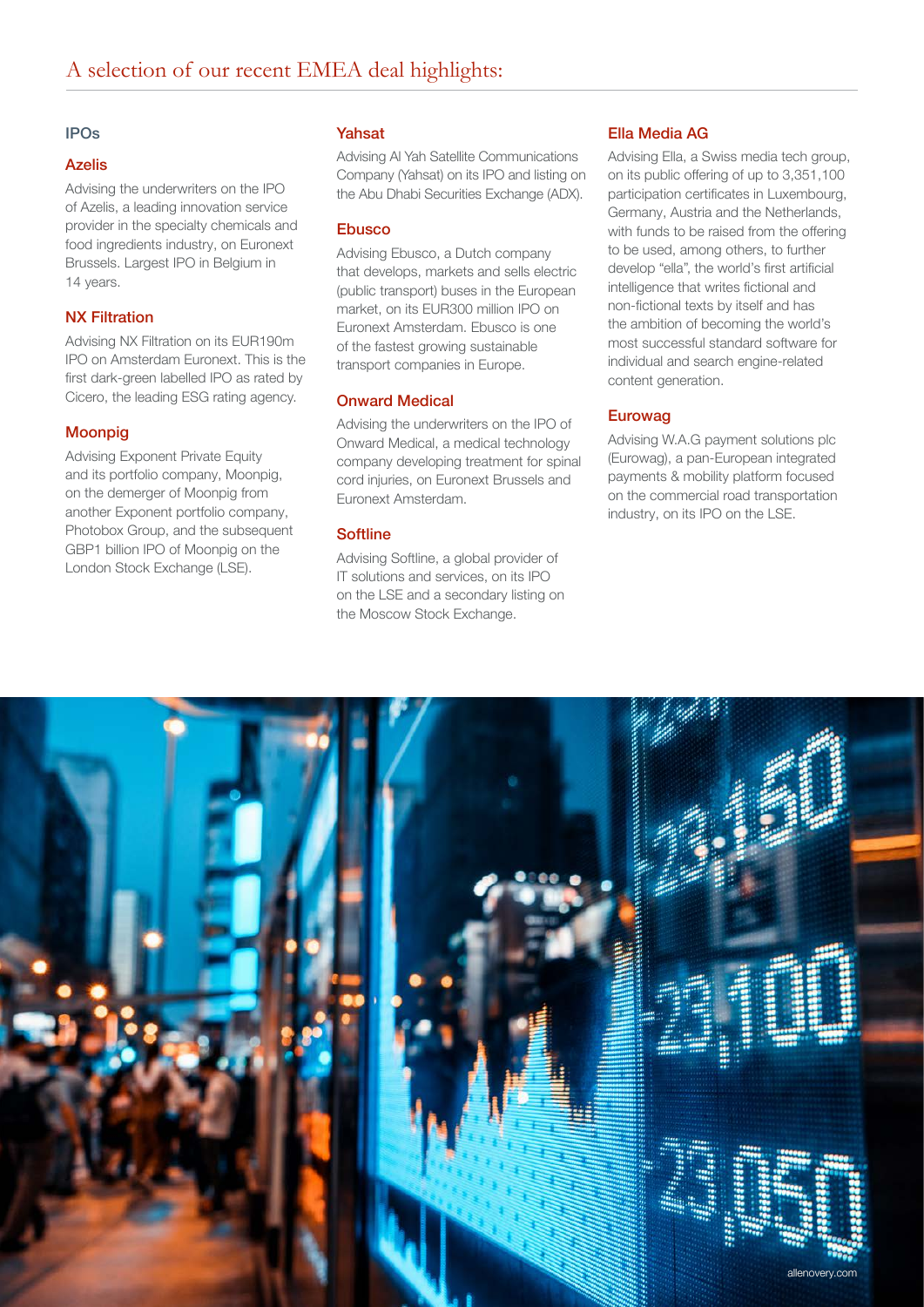#### IPOs

#### Azelis

Advising the underwriters on the IPO of Azelis, a leading innovation service provider in the specialty chemicals and food ingredients industry, on Euronext Brussels. Largest IPO in Belgium in 14 years.

#### NX Filtration

Advising NX Filtration on its EUR190m IPO on Amsterdam Euronext. This is the first dark-green labelled IPO as rated by Cicero, the leading ESG rating agency.

#### Moonpig

Advising Exponent Private Equity and its portfolio company, Moonpig, on the demerger of Moonpig from another Exponent portfolio company, Photobox Group, and the subsequent GBP1 billion IPO of Moonpig on the London Stock Exchange (LSE).

#### Yahsat

Advising Al Yah Satellite Communications Company (Yahsat) on its IPO and listing on the Abu Dhabi Securities Exchange (ADX).

#### Ebusco

Advising Ebusco, a Dutch company that develops, markets and sells electric (public transport) buses in the European market, on its EUR300 million IPO on Euronext Amsterdam. Ebusco is one of the fastest growing sustainable transport companies in Europe.

#### Onward Medical

Advising the underwriters on the IPO of Onward Medical, a medical technology company developing treatment for spinal cord injuries, on Euronext Brussels and Euronext Amsterdam.

#### **Softline**

Advising Softline, a global provider of IT solutions and services, on its IPO on the LSE and a secondary listing on the Moscow Stock Exchange.

#### Ella Media AG

Advising Ella, a Swiss media tech group, on its public offering of up to 3,351,100 participation certificates in Luxembourg, Germany, Austria and the Netherlands, with funds to be raised from the offering to be used, among others, to further develop "ella", the world's first artificial intelligence that writes fictional and non-fictional texts by itself and has the ambition of becoming the world's most successful standard software for individual and search engine-related content generation.

#### Eurowag

Advising W.A.G payment solutions plc (Eurowag), a pan-European integrated payments & mobility platform focused on the commercial road transportation industry, on its IPO on the LSE.

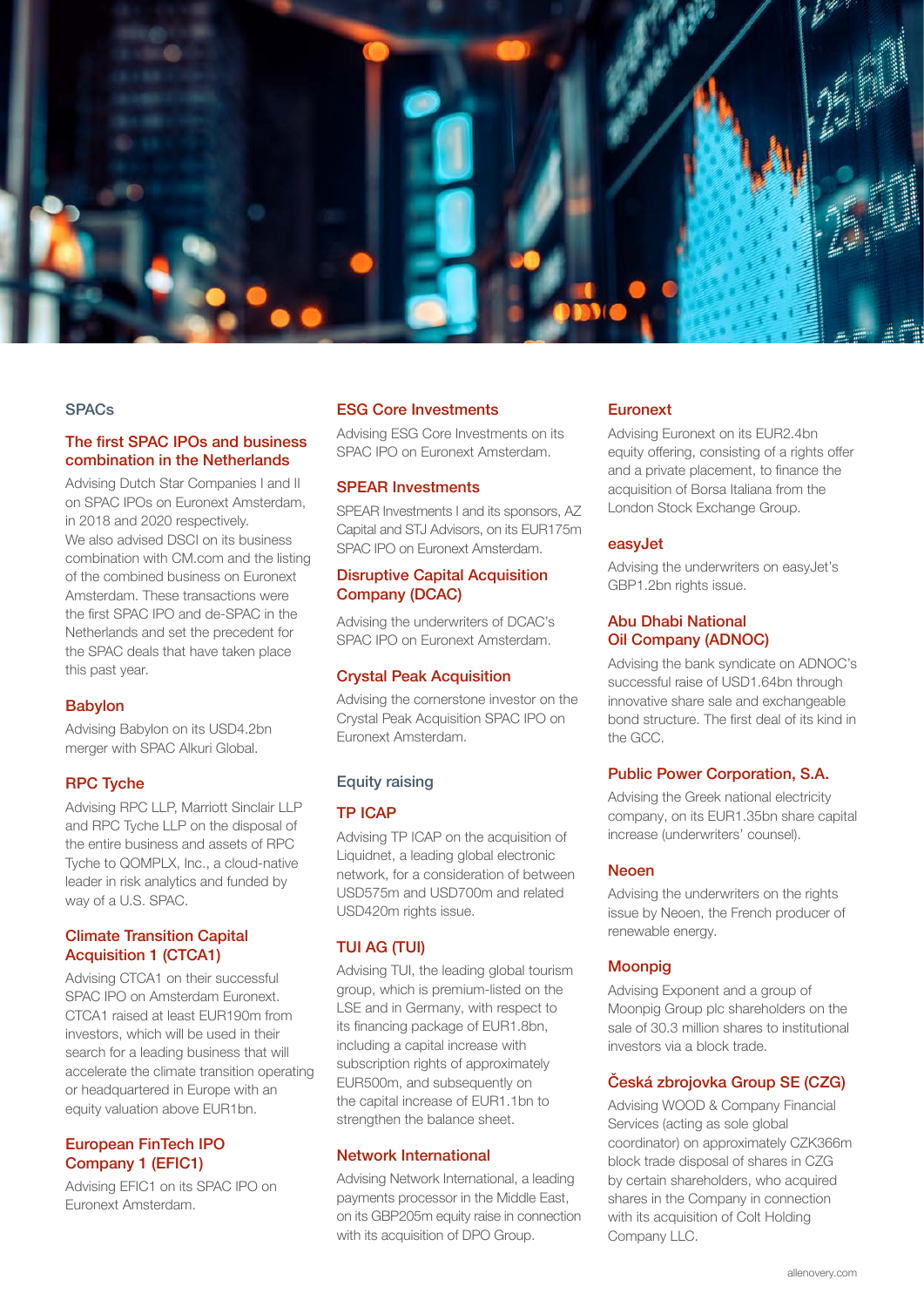

#### **SPACs**

#### The first SPAC IPOs and business combination in the Netherlands

Advising Dutch Star Companies I and II on SPAC IPOs on Euronext Amsterdam, in 2018 and 2020 respectively. We also advised DSCI on its business combination with CM.com and the listing of the combined business on Euronext Amsterdam. These transactions were the first SPAC IPO and de-SPAC in the Netherlands and set the precedent for the SPAC deals that have taken place this past year.

#### Babylon

Advising Babylon on its USD4.2bn merger with SPAC Alkuri Global.

#### RPC Tyche

Advising RPC LLP, Marriott Sinclair LLP and RPC Tyche LLP on the disposal of the entire business and assets of RPC Tyche to QOMPLX, Inc., a cloud-native leader in risk analytics and funded by way of a U.S. SPAC.

#### Climate Transition Capital Acquisition 1 (CTCA1)

Advising CTCA1 on their successful SPAC IPO on Amsterdam Euronext. CTCA1 raised at least EUR190m from investors, which will be used in their search for a leading business that will accelerate the climate transition operating or headquartered in Europe with an equity valuation above EUR1bn.

#### European FinTech IPO Company 1 (EFIC1)

Advising EFIC1 on its SPAC IPO on Euronext Amsterdam.

#### ESG Core Investments

Advising ESG Core Investments on its SPAC IPO on Euronext Amsterdam.

#### SPEAR Investments

SPEAR Investments I and its sponsors, AZ Capital and STJ Advisors, on its EUR175m SPAC IPO on Euronext Amsterdam.

#### Disruptive Capital Acquisition Company (DCAC)

Advising the underwriters of DCAC's SPAC IPO on Euronext Amsterdam.

#### Crystal Peak Acquisition

Advising the cornerstone investor on the Crystal Peak Acquisition SPAC IPO on Euronext Amsterdam.

#### Equity raising

#### TP ICAP

Advising TP ICAP on the acquisition of Liquidnet, a leading global electronic network, for a consideration of between USD575m and USD700m and related USD420m rights issue.

#### TUI AG (TUI)

Advising TUI, the leading global tourism group, which is premium-listed on the LSE and in Germany, with respect to its financing package of EUR1.8bn, including a capital increase with subscription rights of approximately EUR500m, and subsequently on the capital increase of EUR1.1bn to strengthen the balance sheet.

#### Network International

Advising Network International, a leading payments processor in the Middle East, on its GBP205m equity raise in connection with its acquisition of DPO Group.

#### **Euronext**

Advising Euronext on its EUR2.4bn equity offering, consisting of a rights offer and a private placement, to finance the acquisition of Borsa Italiana from the London Stock Exchange Group.

#### easyJet

Advising the underwriters on easyJet's GBP1.2bn rights issue.

#### Abu Dhabi National Oil Company (ADNOC)

Advising the bank syndicate on ADNOC's successful raise of USD1.64bn through innovative share sale and exchangeable bond structure. The first deal of its kind in the GCC.

#### Public Power Corporation, S.A.

Advising the Greek national electricity company, on its EUR1.35bn share capital increase (underwriters' counsel).

#### Neoen

Advising the underwriters on the rights issue by Neoen, the French producer of renewable energy.

#### **Moonpig**

Advising Exponent and a group of Moonpig Group plc shareholders on the sale of 30.3 million shares to institutional investors via a block trade.

#### Česká zbrojovka Group SE (CZG)

Advising WOOD & Company Financial Services (acting as sole global coordinator) on approximately CZK366m block trade disposal of shares in CZG by certain shareholders, who acquired shares in the Company in connection with its acquisition of Colt Holding Company LLC.